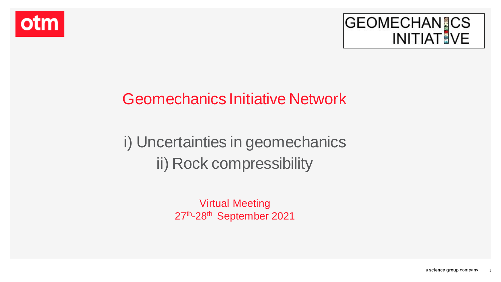



# Geomechanics Initiative Network

# i) Uncertainties in geomechanics ii) Rock compressibility

Virtual Meeting 27<sup>th</sup>-28<sup>th</sup> September 2021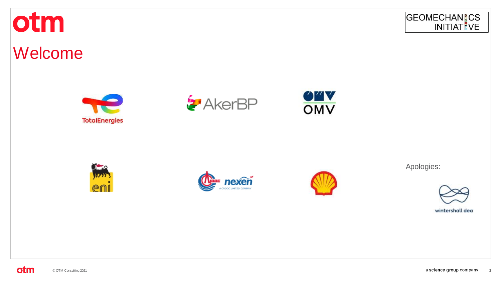



# Welcome













Apologies:

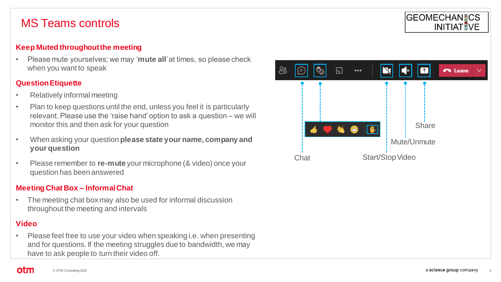### MS Teams controls

#### **Keep Muted throughout the meeting**

• Please mute yourselves; we may '**mute all**' at times, so please check when you want to speak

#### **Question Etiquette**

- Relatively informal meeting
- Plan to keep questions until the end, unless you feel it is particularly relevant. Please use the 'raise hand' option to ask a question – we will monitor this and then ask for your question
- When asking your question **please state your name, company and your question**
- Please remember to **re-mute** your microphone (& video) once your question has been answered

#### **Meeting Chat Box – Informal Chat**

• The meeting chat box may also be used for informal discussion throughout the meeting and intervals

#### **Video**

otm

• Please feel free to use your video when speaking i.e. when presenting and for questions. If the meeting struggles due to bandwidth, we may have to ask people to turn their video off.



**GEOMECHANICS** 

**INITIAT VE**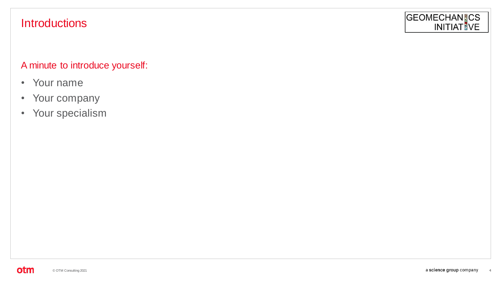### **Introductions**

#### GEOMECHANICS **INITIAT VE**

#### A minute to introduce yourself:

- Your name
- Your company
- Your specialism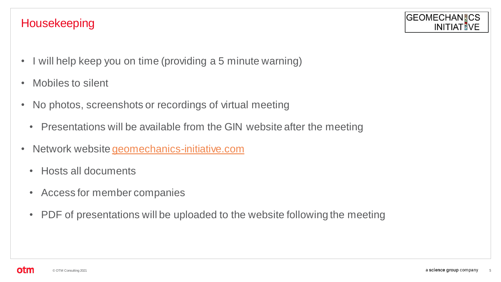### Housekeeping



- I will help keep you on time (providing a 5 minute warning)
- Mobiles to silent
- No photos, screenshots or recordings of virtual meeting
	- Presentations will be available from the GIN website after the meeting
- Network website [geomechanics-initiative.com](https://geomechanics-initiative.com/)
	- Hosts all documents
	- Access for member companies
	- PDF of presentations will be uploaded to the website following the meeting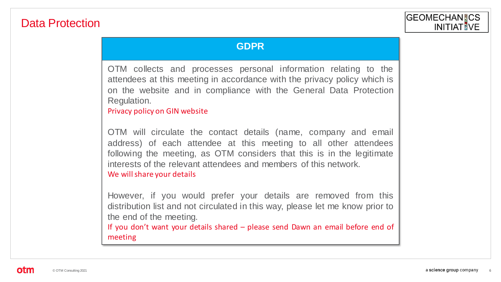### Data Protection

#### **GDPR**

OTM collects and processes personal information relating to the attendees at this meeting in accordance with the privacy policy which is on the website and in compliance with the General Data Protection Regulation.

Privacy policy on GIN website

OTM will circulate the contact details (name, company and email address) of each attendee at this meeting to all other attendees following the meeting, as OTM considers that this is in the legitimate interests of the relevant attendees and members of this network. We will share your details

However, if you would prefer your details are removed from this distribution list and not circulated in this way, please let me know prior to the end of the meeting.

If you don't want your details shared – please send Dawn an email before end of meeting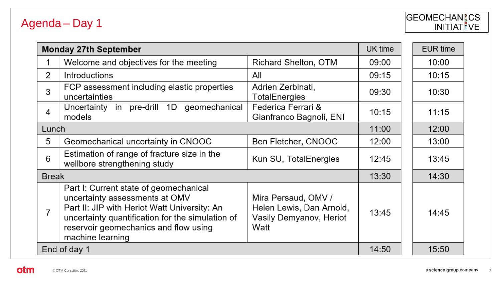## Agenda - Day 1

# GEOMECHAN CS

|                | <b>Monday 27th September</b>                                                                                                                                                                                                              |                                                                                    | UK time | EUR time |
|----------------|-------------------------------------------------------------------------------------------------------------------------------------------------------------------------------------------------------------------------------------------|------------------------------------------------------------------------------------|---------|----------|
| 1              | Welcome and objectives for the meeting                                                                                                                                                                                                    | Richard Shelton, OTM                                                               | 09:00   | 10:00    |
| 2              | <b>Introductions</b>                                                                                                                                                                                                                      | All                                                                                | 09:15   | 10:15    |
| 3              | FCP assessment including elastic properties<br>uncertainties                                                                                                                                                                              | Adrien Zerbinati,<br>TotalEnergies                                                 | 09:30   | 10:30    |
| 4              | 1D<br>geomechanical<br>Uncertainty in pre-drill<br>models                                                                                                                                                                                 | Federica Ferrari &<br>Gianfranco Bagnoli, ENI                                      | 10:15   | 11:15    |
| Lunch          |                                                                                                                                                                                                                                           |                                                                                    | 11:00   | 12:00    |
| 5              | Geomechanical uncertainty in CNOOC                                                                                                                                                                                                        | Ben Fletcher, CNOOC                                                                | 12:00   | 13:00    |
| 6              | Estimation of range of fracture size in the<br>wellbore strengthening study                                                                                                                                                               | Kun SU, TotalEnergies                                                              | 12:45   | 13:45    |
| <b>Break</b>   |                                                                                                                                                                                                                                           | 13:30                                                                              | 14:30   |          |
| $\overline{7}$ | Part I: Current state of geomechanical<br>uncertainty assessments at OMV<br>Part II: JIP with Heriot Watt University: An<br>uncertainty quantification for the simulation of<br>reservoir geomechanics and flow using<br>machine learning | Mira Persaud, OMV /<br>Helen Lewis, Dan Arnold,<br>Vasily Demyanov, Heriot<br>Watt | 13:45   | 14:45    |
| End of day 1   |                                                                                                                                                                                                                                           | 14:50                                                                              | 15:50   |          |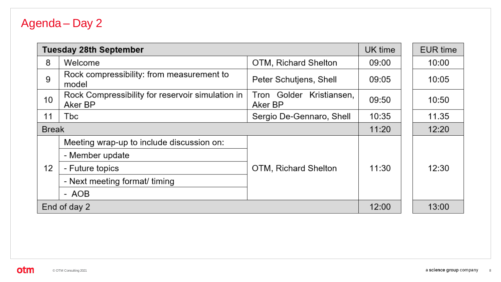## Agenda - Day 2

|                 | <b>Tuesday 28th September</b>                               | UK time                                |       | EUR time |
|-----------------|-------------------------------------------------------------|----------------------------------------|-------|----------|
| 8               | Welcome                                                     | OTM, Richard Shelton                   | 09:00 | 10:00    |
| 9               | Rock compressibility: from measurement to<br>model          | Peter Schutjens, Shell                 | 09:05 | 10:05    |
| 10              | Rock Compressibility for reservoir simulation in<br>Aker BP | Tron Golder<br>Kristiansen,<br>Aker BP | 09:50 | 10:50    |
| 11              | Tbc                                                         | Sergio De-Gennaro, Shell               | 10:35 | 11.35    |
|                 | <b>Break</b>                                                |                                        | 11:20 | 12:20    |
|                 | Meeting wrap-up to include discussion on:                   |                                        |       |          |
|                 | - Member update                                             |                                        | 11:30 |          |
| 12 <sup>2</sup> | - Future topics                                             | OTM, Richard Shelton                   |       | 12:30    |
|                 | - Next meeting format/ timing                               |                                        |       |          |
|                 | - AOB                                                       |                                        |       |          |
| End of day 2    |                                                             |                                        | 12:00 | 13:00    |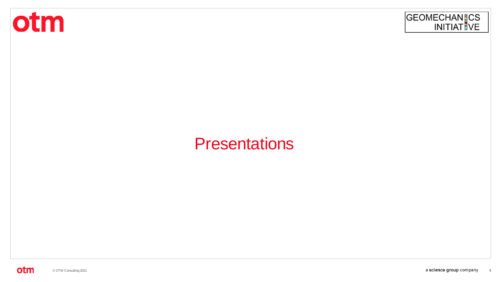



# **Presentations**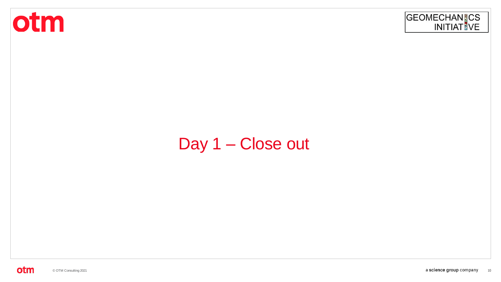



# Day 1 - Close out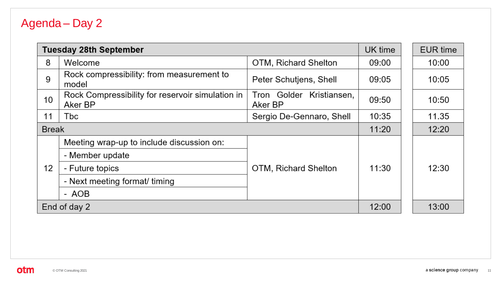## Agenda - Day 2

|                 | <b>Tuesday 28th September</b>                               |                                        | UK time | EUR time |
|-----------------|-------------------------------------------------------------|----------------------------------------|---------|----------|
| 8               | Welcome                                                     | OTM, Richard Shelton                   | 09:00   | 10:00    |
| 9               | Rock compressibility: from measurement to<br>model          | Peter Schutjens, Shell                 | 09:05   | 10:05    |
| 10              | Rock Compressibility for reservoir simulation in<br>Aker BP | Tron Golder<br>Kristiansen,<br>Aker BP | 09:50   | 10:50    |
| 11              | Tbc                                                         | Sergio De-Gennaro, Shell               | 10:35   | 11.35    |
|                 | <b>Break</b>                                                |                                        | 11:20   | 12:20    |
|                 | Meeting wrap-up to include discussion on:                   |                                        | 11:30   |          |
| 12 <sup>2</sup> | - Member update                                             |                                        |         |          |
|                 | - Future topics                                             | OTM, Richard Shelton                   |         | 12:30    |
|                 | - Next meeting format/ timing                               |                                        |         |          |
|                 | - AOB                                                       |                                        |         |          |
| End of day 2    |                                                             |                                        | 12:00   | 13:00    |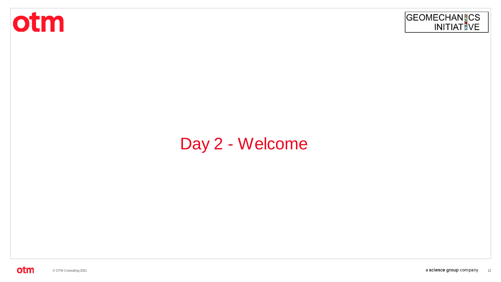



# Day 2 - Welcome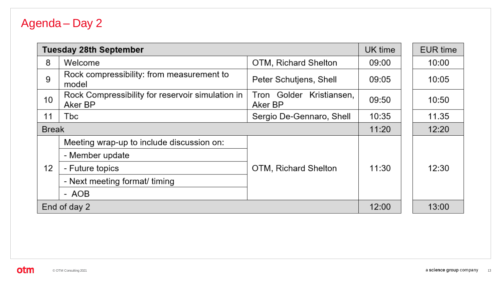## Agenda - Day 2

|                 | <b>Tuesday 28th September</b>                               | UK time                                |       | EUR time |
|-----------------|-------------------------------------------------------------|----------------------------------------|-------|----------|
| 8               | Welcome                                                     | OTM, Richard Shelton                   | 09:00 | 10:00    |
| 9               | Rock compressibility: from measurement to<br>model          | Peter Schutjens, Shell                 | 09:05 | 10:05    |
| 10              | Rock Compressibility for reservoir simulation in<br>Aker BP | Tron Golder<br>Kristiansen,<br>Aker BP | 09:50 | 10:50    |
| 11              | Tbc                                                         | Sergio De-Gennaro, Shell               | 10:35 | 11.35    |
|                 | <b>Break</b>                                                |                                        | 11:20 | 12:20    |
|                 | Meeting wrap-up to include discussion on:                   |                                        |       |          |
|                 | - Member update                                             |                                        | 11:30 |          |
| 12 <sup>2</sup> | - Future topics                                             | OTM, Richard Shelton                   |       | 12:30    |
|                 | - Next meeting format/ timing                               |                                        |       |          |
|                 | - AOB                                                       |                                        |       |          |
| End of day 2    |                                                             |                                        | 12:00 | 13:00    |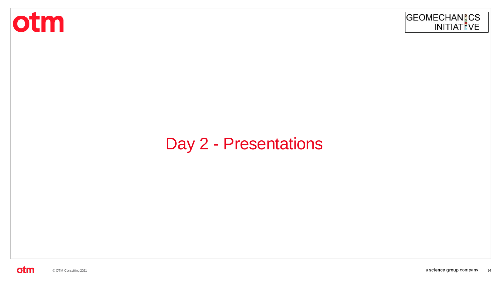



# Day 2 - Presentations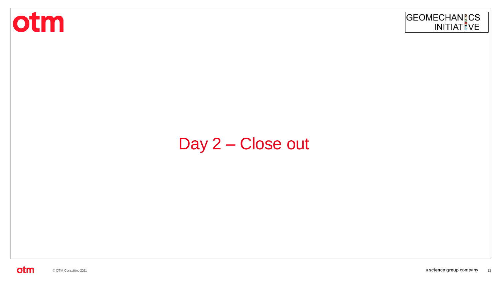



# Day 2 - Close out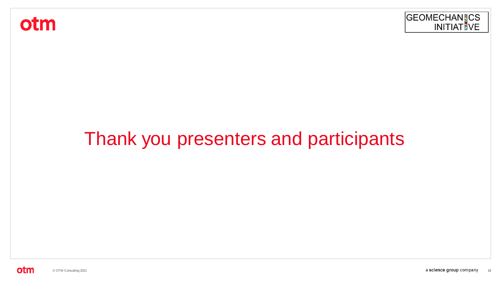otm



# Thank you presenters and participants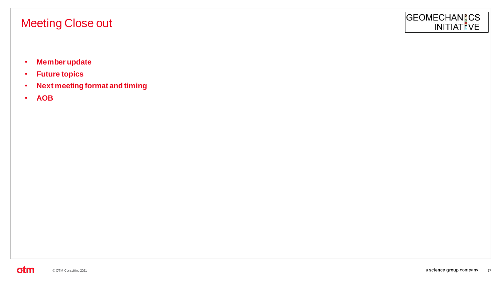### Meeting Close out

- **Member update**
- **Future topics**
- **Next meeting format and timing**
- **AOB**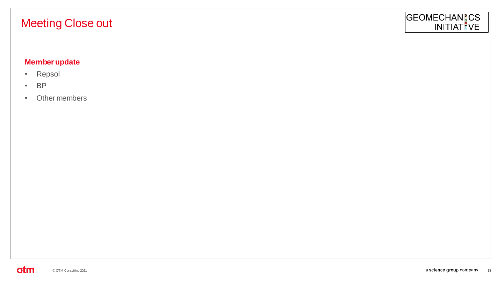### Meeting Close out

# GEOMECHANICS<br>INITIATIVE

#### **Member update**

- Repsol
- BP
- Other members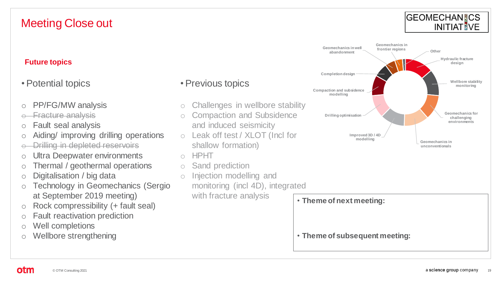#### **GEOMECHANICS INITIAT VE**

#### **Future topics**

• Potential topics

- o PP/FG/MW analysis
- o Fracture analysis
- o Fault seal analysis
- o Aiding/ improving drilling operations
- o Drilling in depleted reservoirs
- o Ultra Deepwater environments
- o Thermal / geothermal operations
- o Digitalisation / big data
- o Technology in Geomechanics (Sergio at September 2019 meeting)
- $\circ$  Rock compressibility (+ fault seal)
- o Fault reactivation prediction
- o Well completions
- o Wellbore strengthening

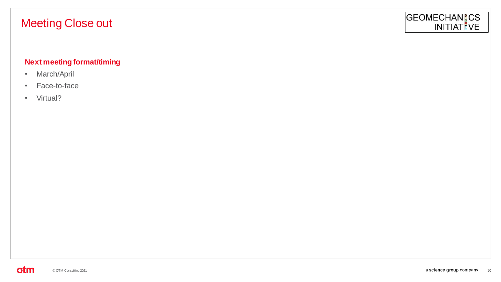### Meeting Close out

# GEOMECHANICS<br>INITIATIVE

#### **Next meeting format/timing**

- March/April
- Face-to-face
- Virtual?